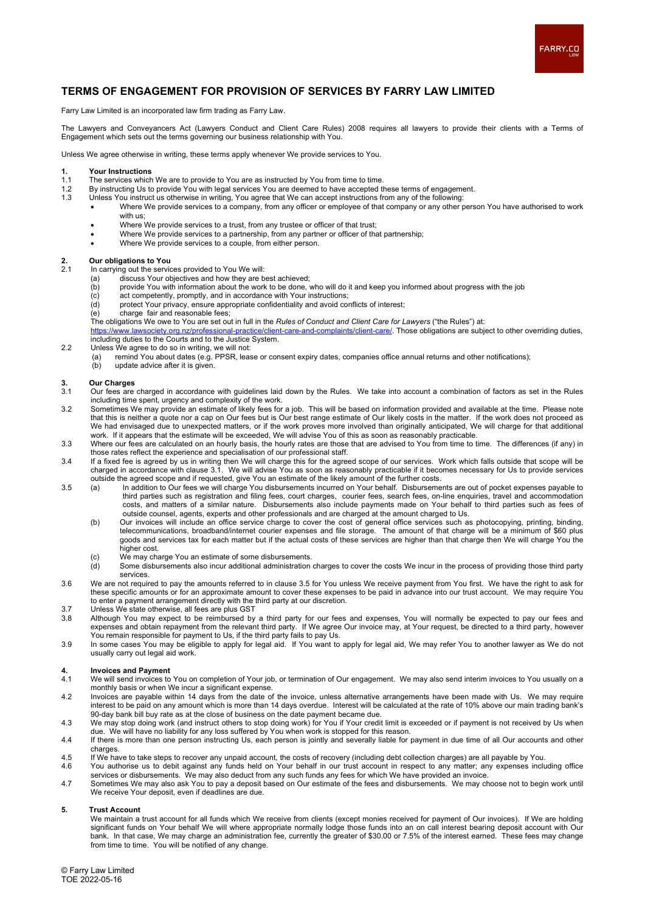

### **TERMS OF ENGAGEMENT FOR PROVISION OF SERVICES BY FARRY LAW LIMITED**

Farry Law Limited is an incorporated law firm trading as Farry Law.

The Lawyers and Conveyancers Act (Lawyers Conduct and Client Care Rules) 2008 requires all lawyers to provide their clients with a Terms of Engagement which sets out the terms governing our business relationship with You.

Unless We agree otherwise in writing, these terms apply whenever We provide services to You.

## **1. Your Instructions**

- 1.1 The services which We are to provide to You are as instructed by You from time to time.<br>1.2 By instructing Us to provide You with legal services You are deemed to have accepted the
- 1.2 By instructing Us to provide You with legal services You are deemed to have accepted these terms of engagement.<br>1.3 Unless You instruct us otherwise in writing. You agree that We can accept instructions from any of the
	- Unless You instruct us otherwise in writing, You agree that We can accept instructions from any of the following:
		- Where We provide services to a company, from any officer or employee of that company or any other person You have authorised to work with us;
		- Where We provide services to a trust, from any trustee or officer of that trust;
		- Where We provide services to a partnership, from any partner or officer of that partnership;
		- Where We provide services to a couple, from either person.

### **2. Our obligations to You**

- In carrying out the services provided to You We will:<br>(a) discuss Your objectives and how they are b
	- (a) discuss Your objectives and how they are best achieved;<br>
	(b) provide You with information about the work to be done, (c) act competently, promptly, and in accordance with Your in
	- (b) provide You with information about the work to be done, who will do it and keep you informed about progress with the job
	- (c) act competently, promptly, and in accordance with Your instructions;
	- (d) protect Your privacy, ensure appropriate confidentiality and avoid conflicts of interest;
	- charge fair and reasonable fees;

The obligations We owe to You are set out in full in the *Rules of Conduct and Client Care for Lawyers* ("the Rules") at:

laints/client-care/. Those obligations are subject to other overriding duties, including duties to the Courts and to the Justice System.

- 2.2 Unless We agree to do so in writing, we will not:
	- (a) remind You about dates (e.g. PPSR, lease or consent expiry dates, companies office annual returns and other notifications);<br>(b) update advice after it is given. update advice after it is given.
- 
- **3. Our Charges** 3.1 Our fees are charged in accordance with guidelines laid down by the Rules. We take into account a combination of factors as set in the Rules including time spent, urgency and complexity of the work.
- 3.2 Sometimes We may provide an estimate of likely fees for a job. This will be based on information provided and available at the time. Please note that this is neither a quote nor a cap on Our fees but is Our best range estimate of Our likely costs in the matter. If the work does not proceed as We had envisaged due to unexpected matters, or if the work proves more involved than originally anticipated, We will charge for that additional work. If it appears that the estimate will be exceeded, We will advise You of this as soon as reasonably practicable.
- 3.3 Where our fees are calculated on an hourly basis, the hourly rates are those that are advised to You from time to time. The differences (if any) in those rates reflect the experience and specialisation of our professional staff.
- 3.4 If a fixed fee is agreed by us in writing then We will charge this for the agreed scope of our services. Work which falls outside that scope will be charged in accordance with clause 3.1. We will advise You as soon as reasonably practicable if it becomes necessary for Us to provide services outside the agreed scope and if requested, give You an estimate of the likely amount of the further costs.
- 3.5 (a) In addition to Our fees we will charge You disbursements incurred on Your behalf. Disbursements are out of pocket expenses payable to third parties such as registration and filing fees, court charges, courier fees, search fees, on-line enquiries, travel and accommodation costs, and matters of a similar nature. Disbursements also include payments made on Your behalf to third parties such as fees of outside counsel, agents, experts and other professionals and are charged at the amount charged to Us.
	- (b) Our invoices will include an office service charge to cover the cost of general office services such as photocopying, printing, binding, telecommunications, broadband/internet courier expenses and file storage. The amount of that charge will be a minimum of \$60 plus goods and services tax for each matter but if the actual costs of these services are higher than that charge then We will charge You the higher cost.
	- (c) We may charge You an estimate of some disbursements.<br>(d) Some disbursements also incur additional administration
	- Some disbursements also incur additional administration charges to cover the costs We incur in the process of providing those third party services.
- 3.6 We are not required to pay the amounts referred to in clause 3.5 for You unless We receive payment from You first. We have the right to ask for these specific amounts or for an approximate amount to cover these expenses to be paid in advance into our trust account. We may require You to enter a payment arrangement directly with the third party at our discretion.
- 3.7 Unless We state otherwise, all fees are plus GST
- 3.8 Although You may expect to be reimbursed by a third party for our fees and expenses, You will normally be expected to pay our fees and expenses and obtain repayment from the relevant third party. If We agree Our invoice may, at Your request, be directed to a third party, however You remain responsible for payment to Us, if the third party fails to pay Us.
- 3.9 In some cases You may be eligible to apply for legal aid. If You want to apply for legal aid, We may refer You to another lawyer as We do not usually carry out legal aid work.

## **4. Invoices and Payment**

- 4.1 We will send invoices to You on completion of Your job, or termination of Our engagement. We may also send interim invoices to You usually on a monthly basis or when We incur a significant expense.
- 4.2 Invoices are payable within 14 days from the date of the invoice, unless alternative arrangements have been made with Us. We may require interest to be paid on any amount which is more than 14 days overdue. Interest will be calculated at the rate of 10% above our main trading bank's 90-day bank bill buy rate as at the close of business on the date payment became due.
- 4.3 We may stop doing work (and instruct others to stop doing work) for You if Your credit limit is exceeded or if payment is not received by Us when due. We will have no liability for any loss suffered by You when work is stopped for this reason.
- 4.4 If there is more than one person instructing Us, each person is jointly and severally liable for payment in due time of all Our accounts and other charges.
- 4.5 If We have to take steps to recover any unpaid account, the costs of recovery (including debt collection charges) are all payable by You. 4.6 You authorise us to debit against any funds held on Your behalf in our trust account in respect to any matter; any expenses including office services or disbursements. We may also deduct from any such funds any fees for which We have provided an invoice.
- 4.7 Sometimes We may also ask You to pay a deposit based on Our estimate of the fees and disbursements. We may choose not to begin work until We receive Your deposit, even if deadlines are due.

#### **5. Trust Account**

We maintain a trust account for all funds which We receive from clients (except monies received for payment of Our invoices). If We are holding significant funds on Your behalf We will where appropriate normally lodge those funds into an on call interest bearing deposit account with Our bank. In that case, We may charge an administration fee, currently the greater of \$30.00 or 7.5% of the interest earned. These fees may change from time to time. You will be notified of any change.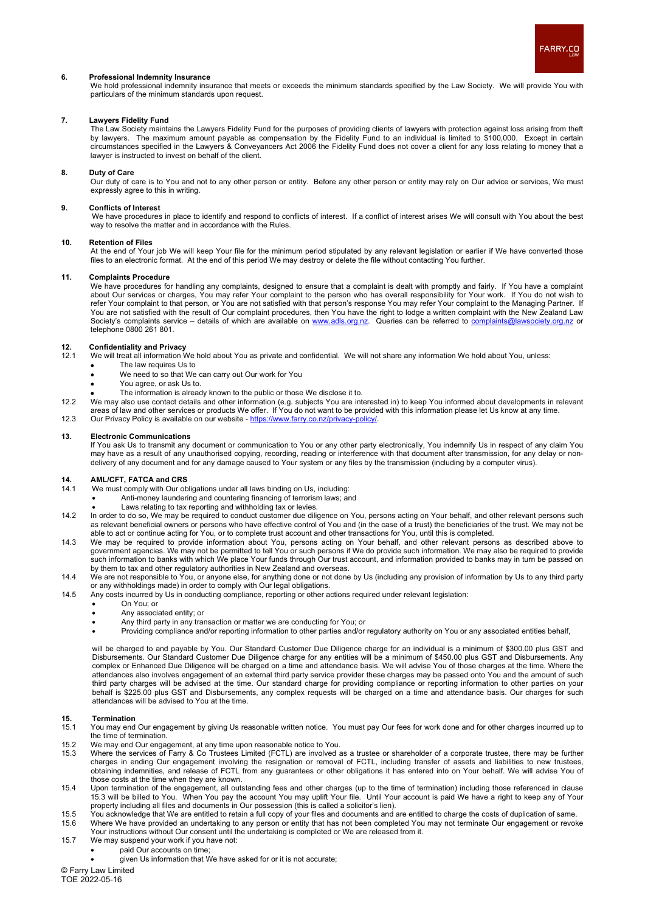

#### **6. Professional Indemnity Insurance**

We hold professional indemnity insurance that meets or exceeds the minimum standards specified by the Law Society. We will provide You with particulars of the minimum standards upon request.

#### **7. Lawyers Fidelity Fund**

The Law Society maintains the Lawyers Fidelity Fund for the purposes of providing clients of lawyers with protection against loss arising from theft by lawyers. The maximum amount payable as compensation by the Fidelity Fund to an individual is limited to \$100,000. Except in certain circumstances specified in the Lawyers & Conveyancers Act 2006 the Fidelity Fund does not cover a client for any loss relating to money that a lawyer is instructed to invest on behalf of the client.

#### **8. Duty of Care**

Our duty of care is to You and not to any other person or entity. Before any other person or entity may rely on Our advice or services, We must expressly agree to this in writing.

#### **9. Conflicts of Interest**

We have procedures in place to identify and respond to conflicts of interest. If a conflict of interest arises We will consult with You about the best way to resolve the matter and in accordance with the Rules.

#### **10. Retention of Files**

At the end of Your job We will keep Your file for the minimum period stipulated by any relevant legislation or earlier if We have converted those files to an electronic format. At the end of this period We may destroy or delete the file without contacting You further.

#### **11. Complaints Procedure**

We have procedures for handling any complaints, designed to ensure that a complaint is dealt with promptly and fairly. If You have a complaint about Our services or charges, You may refer Your complaint to the person who has overall responsibility for Your work. If You do not wish to refer Your complaint to that person, or You are not satisfied with that person's response You may refer Your complaint to the Managing Partner. If You are not satisfied with the result of Our complaint procedures, then You have the right to lodge a written complaint with the New Zealand Law Society's complaints service – details of which are available on <u>www.adls.org.nz</u>. Queries can be referred to <u>complaints@lawsociety.org.nz</u> or telephone 0800 261 801.

## **12. Confidentiality and Privacy**<br>**12.1** We will treat all information V

We will treat all information We hold about You as private and confidential. We will not share any information We hold about You, unless:

- The law requires Us to
- We need to so that We can carry out Our work for You
- You agree, or ask Us to.
- The information is already known to the public or those We disclose it to.
- 12.2 We may also use contact details and other information (e.g. subjects You are interested in) to keep You informed about developments in relevant areas of law and other services or products We offer. If You do not want to be provided with this information please let Us know at any time.
- 12.3 Our Privacy Policy is available on our website https://www.farry.co.nz/privacy

#### **13. Electronic Communications**

If You ask Us to transmit any document or communication to You or any other party electronically, You indemnify Us in respect of any claim You may have as a result of any unauthorised copying, recording, reading or interference with that document after transmission, for any delay or nondelivery of any document and for any damage caused to Your system or any files by the transmission (including by a computer virus).

## **14. AML/CFT, FATCA and CRS**<br>14.1 We must comply with Our ob

- We must comply with Our obligations under all laws binding on Us, including:
- Anti-money laundering and countering financing of terrorism laws; and
- Laws relating to tax reporting and withholding tax or levies.
- 14.2 In order to do so, We may be required to conduct customer due diligence on You, persons acting on Your behalf, and other relevant persons such as relevant beneficial owners or persons who have effective control of You and (in the case of a trust) the beneficiaries of the trust. We may not be able to act or continue acting for You, or to complete trust account and other transactions for You, until this is completed.
- 14.3 We may be required to provide information about You, persons acting on Your behalf, and other relevant persons as described above to government agencies. We may not be permitted to tell You or such persons if We do provide such information. We may also be required to provide such information to banks with which We place Your funds through Our trust account, and information provided to banks may in turn be passed on by them to tax and other regulatory authorities in New Zealand and overseas.
- 14.4 We are not responsible to You, or anyone else, for anything done or not done by Us (including any provision of information by Us to any third party or any withholdings made) in order to comply with Our legal obligations.
- 14.5 Any costs incurred by Us in conducting compliance, reporting or other actions required under relevant legislation:
	- On You; or
	- Any associated entity; or
	- Any third party in any transaction or matter we are conducting for You; or
	- Providing compliance and/or reporting information to other parties and/or regulatory authority on You or any associated entities behalf,

will be charged to and payable by You. Our Standard Customer Due Diligence charge for an individual is a minimum of \$300.00 plus GST and Disbursements. Our Standard Customer Due Diligence charge for any entities will be a minimum of \$450.00 plus GST and Disbursements. Any complex or Enhanced Due Diligence will be charged on a time and attendance basis. We will advise You of those charges at the time. Where the attendances also involves engagement of an external third party service provider these charges may be passed onto You and the amount of such third party charges will be advised at the time. Our standard charge for providing compliance or reporting information to other parties on your behalf is \$225.00 plus GST and Disbursements, any complex requests will be charged on a time and attendance basis. Our charges for such attendances will be advised to You at the time.

## **15. Termination**

- 15.1 You may end Our engagement by giving Us reasonable written notice. You must pay Our fees for work done and for other charges incurred up to the time of termination.
- 15.2 We may end Our engagement, at any time upon reasonable notice to You.<br>15.3 Where the services of Farry & Co Trustees Limited (FCTL) are involved a
- 15.3 Where the services of Farry & Co Trustees Limited (FCTL) are involved as a trustee or shareholder of a corporate trustee, there may be further charges in ending Our engagement involving the resignation or removal of FCTL, including transfer of assets and liabilities to new trustees, obtaining indemnities, and release of FCTL from any guarantees or other obligations it has entered into on Your behalf. We will advise You of those costs at the time when they are known.
- 15.4 Upon termination of the engagement, all outstanding fees and other charges (up to the time of termination) including those referenced in clause 15.3 will be billed to You. When You pay the account You may uplift Your file. Until Your account is paid We have a right to keep any of Your property including all files and documents in Our possession (this is called a solicitor's lien).
- 15.5 You acknowledge that We are entitled to retain a full copy of your files and documents and are entitled to charge the costs of duplication of same.<br>15.6 Where We have provided an undertaking to any person or entity th 15.6 Where We have provided an undertaking to any person or entity that has not been completed You may not terminate Our engagement or revoke Your instructions without Our consent until the undertaking is completed or We are released from it.
- 15.7 We may suspend your work if you have not:
	- paid Our accounts on time;
		- - given Us information that We have asked for or it is not accurate;